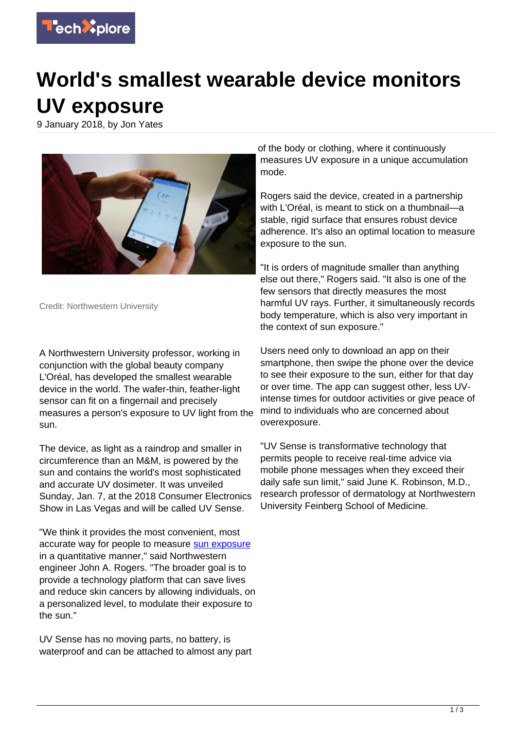

## **World's smallest wearable device monitors UV exposure**

9 January 2018, by Jon Yates



Credit: Northwestern University

A Northwestern University professor, working in conjunction with the global beauty company L'Oréal, has developed the smallest wearable device in the world. The wafer-thin, feather-light sensor can fit on a fingernail and precisely measures a person's exposure to UV light from the sun.

The device, as light as a raindrop and smaller in circumference than an M&M, is powered by the sun and contains the world's most sophisticated and accurate UV dosimeter. It was unveiled Sunday, Jan. 7, at the 2018 Consumer Electronics Show in Las Vegas and will be called UV Sense.

"We think it provides the most convenient, most accurate way for people to measure [sun exposure](https://techxplore.com/tags/sun+exposure/) in a quantitative manner," said Northwestern engineer John A. Rogers. "The broader goal is to provide a technology platform that can save lives and reduce skin cancers by allowing individuals, on a personalized level, to modulate their exposure to the sun."

UV Sense has no moving parts, no battery, is waterproof and can be attached to almost any part

of the body or clothing, where it continuously measures UV exposure in a unique accumulation mode.

Rogers said the device, created in a partnership with L'Oréal, is meant to stick on a thumbnail—a stable, rigid surface that ensures robust device adherence. It's also an optimal location to measure exposure to the sun.

"It is orders of magnitude smaller than anything else out there," Rogers said. "It also is one of the few sensors that directly measures the most harmful UV rays. Further, it simultaneously records body temperature, which is also very important in the context of sun exposure."

Users need only to download an app on their smartphone, then swipe the phone over the device to see their exposure to the sun, either for that day or over time. The app can suggest other, less UVintense times for outdoor activities or give peace of mind to individuals who are concerned about overexposure.

"UV Sense is transformative technology that permits people to receive real-time advice via mobile phone messages when they exceed their daily safe sun limit," said June K. Robinson, M.D., research professor of dermatology at Northwestern University Feinberg School of Medicine.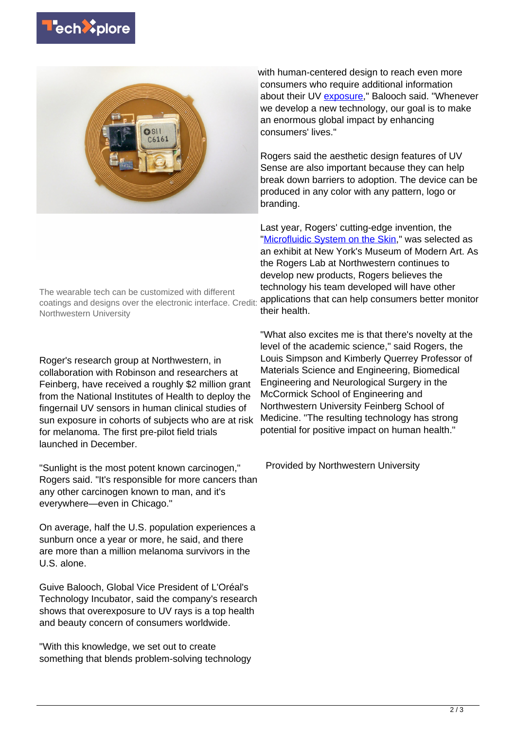



The wearable tech can be customized with different coatings and designs over the electronic interface. Credit: Northwestern University

Roger's research group at Northwestern, in collaboration with Robinson and researchers at Feinberg, have received a roughly \$2 million grant from the National Institutes of Health to deploy the fingernail UV sensors in human clinical studies of sun exposure in cohorts of subjects who are at risk for melanoma. The first pre-pilot field trials launched in December.

"Sunlight is the most potent known carcinogen," Rogers said. "It's responsible for more cancers than any other carcinogen known to man, and it's everywhere—even in Chicago."

On average, half the U.S. population experiences a sunburn once a year or more, he said, and there are more than a million melanoma survivors in the U.S. alone.

Guive Balooch, Global Vice President of L'Oréal's Technology Incubator, said the company's research shows that overexposure to UV rays is a top health and beauty concern of consumers worldwide.

"With this knowledge, we set out to create something that blends problem-solving technology

with human-centered design to reach even more consumers who require additional information about their UV [exposure](https://techxplore.com/tags/exposure/)," Balooch said. "Whenever we develop a new technology, our goal is to make an enormous global impact by enhancing consumers' lives."

Rogers said the aesthetic design features of UV Sense are also important because they can help break down barriers to adoption. The device can be produced in any color with any pattern, logo or branding.

Last year, Rogers' cutting-edge invention, the ["Microfluidic System on the Skin](https://news.northwestern.edu/stories/2017/october/lab-on-the-skin/)," was selected as an exhibit at New York's Museum of Modern Art. As the Rogers Lab at Northwestern continues to develop new products, Rogers believes the technology his team developed will have other applications that can help consumers better monitor their health.

"What also excites me is that there's novelty at the level of the academic science," said Rogers, the Louis Simpson and Kimberly Querrey Professor of Materials Science and Engineering, Biomedical Engineering and Neurological Surgery in the McCormick School of Engineering and Northwestern University Feinberg School of Medicine. "The resulting technology has strong potential for positive impact on human health."

Provided by Northwestern University